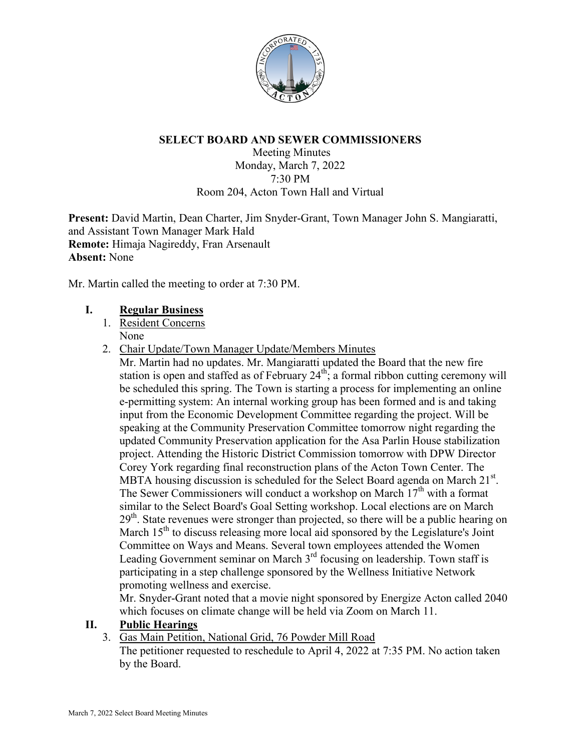

## **SELECT BOARD AND SEWER COMMISSIONERS**

Meeting Minutes Monday, March 7, 2022 7:30 PM Room 204, Acton Town Hall and Virtual

**Present:** David Martin, Dean Charter, Jim Snyder-Grant, Town Manager John S. Mangiaratti, and Assistant Town Manager Mark Hald **Remote:** Himaja Nagireddy, Fran Arsenault **Absent:** None

Mr. Martin called the meeting to order at 7:30 PM.

# **I. Regular Business**

- 1. Resident Concerns None
- 2. Chair Update/Town Manager Update/Members Minutes
	- Mr. Martin had no updates. Mr. Mangiaratti updated the Board that the new fire station is open and staffed as of February  $24<sup>th</sup>$ ; a formal ribbon cutting ceremony will be scheduled this spring. The Town is starting a process for implementing an online e-permitting system: An internal working group has been formed and is and taking input from the Economic Development Committee regarding the project. Will be speaking at the Community Preservation Committee tomorrow night regarding the updated Community Preservation application for the Asa Parlin House stabilization project. Attending the Historic District Commission tomorrow with DPW Director Corey York regarding final reconstruction plans of the Acton Town Center. The MBTA housing discussion is scheduled for the Select Board agenda on March  $21^{st}$ . The Sewer Commissioners will conduct a workshop on March  $17<sup>th</sup>$  with a format similar to the Select Board's Goal Setting workshop. Local elections are on March  $29<sup>th</sup>$ . State revenues were stronger than projected, so there will be a public hearing on March 15<sup>th</sup> to discuss releasing more local aid sponsored by the Legislature's Joint Committee on Ways and Means. Several town employees attended the Women Leading Government seminar on March  $3<sup>rd</sup>$  focusing on leadership. Town staff is participating in a step challenge sponsored by the Wellness Initiative Network promoting wellness and exercise.

Mr. Snyder-Grant noted that a movie night sponsored by Energize Acton called 2040 which focuses on climate change will be held via Zoom on March 11.

# **II. Public Hearings**

3. Gas Main Petition, National Grid, 76 Powder Mill Road

The petitioner requested to reschedule to April 4, 2022 at 7:35 PM. No action taken by the Board.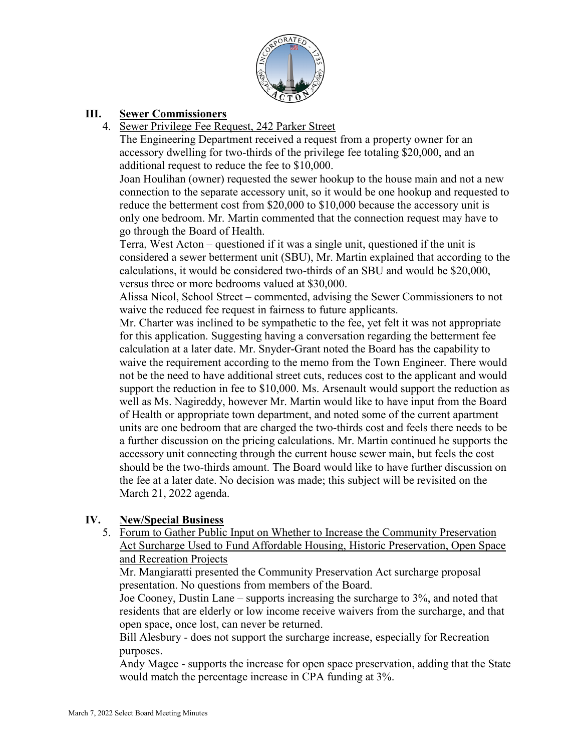

# **III. Sewer Commissioners**

4. Sewer Privilege Fee Request, 242 Parker Street

The Engineering Department received a request from a property owner for an accessory dwelling for two-thirds of the privilege fee totaling \$20,000, and an additional request to reduce the fee to \$10,000.

Joan Houlihan (owner) requested the sewer hookup to the house main and not a new connection to the separate accessory unit, so it would be one hookup and requested to reduce the betterment cost from \$20,000 to \$10,000 because the accessory unit is only one bedroom. Mr. Martin commented that the connection request may have to go through the Board of Health.

Terra, West Acton – questioned if it was a single unit, questioned if the unit is considered a sewer betterment unit (SBU), Mr. Martin explained that according to the calculations, it would be considered two-thirds of an SBU and would be \$20,000, versus three or more bedrooms valued at \$30,000.

Alissa Nicol, School Street – commented, advising the Sewer Commissioners to not waive the reduced fee request in fairness to future applicants.

Mr. Charter was inclined to be sympathetic to the fee, yet felt it was not appropriate for this application. Suggesting having a conversation regarding the betterment fee calculation at a later date. Mr. Snyder-Grant noted the Board has the capability to waive the requirement according to the memo from the Town Engineer. There would not be the need to have additional street cuts, reduces cost to the applicant and would support the reduction in fee to \$10,000. Ms. Arsenault would support the reduction as well as Ms. Nagireddy, however Mr. Martin would like to have input from the Board of Health or appropriate town department, and noted some of the current apartment units are one bedroom that are charged the two-thirds cost and feels there needs to be a further discussion on the pricing calculations. Mr. Martin continued he supports the accessory unit connecting through the current house sewer main, but feels the cost should be the two-thirds amount. The Board would like to have further discussion on the fee at a later date. No decision was made; this subject will be revisited on the March 21, 2022 agenda.

# **IV. New/Special Business**

5. Forum to Gather Public Input on Whether to Increase the Community Preservation Act Surcharge Used to Fund Affordable Housing, Historic Preservation, Open Space and Recreation Projects

Mr. Mangiaratti presented the Community Preservation Act surcharge proposal presentation. No questions from members of the Board.

Joe Cooney, Dustin Lane – supports increasing the surcharge to 3%, and noted that residents that are elderly or low income receive waivers from the surcharge, and that open space, once lost, can never be returned.

Bill Alesbury - does not support the surcharge increase, especially for Recreation purposes.

Andy Magee - supports the increase for open space preservation, adding that the State would match the percentage increase in CPA funding at 3%.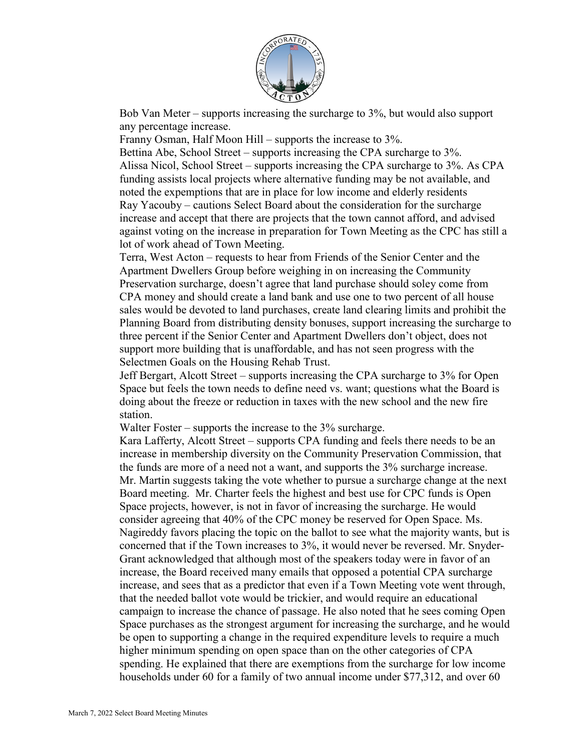

Bob Van Meter – supports increasing the surcharge to 3%, but would also support any percentage increase.

Franny Osman, Half Moon Hill – supports the increase to 3%.

Bettina Abe, School Street – supports increasing the CPA surcharge to 3%. Alissa Nicol, School Street – supports increasing the CPA surcharge to 3%. As CPA funding assists local projects where alternative funding may be not available, and noted the expemptions that are in place for low income and elderly residents Ray Yacouby – cautions Select Board about the consideration for the surcharge increase and accept that there are projects that the town cannot afford, and advised against voting on the increase in preparation for Town Meeting as the CPC has still a lot of work ahead of Town Meeting.

Terra, West Acton – requests to hear from Friends of the Senior Center and the Apartment Dwellers Group before weighing in on increasing the Community Preservation surcharge, doesn't agree that land purchase should soley come from CPA money and should create a land bank and use one to two percent of all house sales would be devoted to land purchases, create land clearing limits and prohibit the Planning Board from distributing density bonuses, support increasing the surcharge to three percent if the Senior Center and Apartment Dwellers don't object, does not support more building that is unaffordable, and has not seen progress with the Selectmen Goals on the Housing Rehab Trust.

Jeff Bergart, Alcott Street – supports increasing the CPA surcharge to 3% for Open Space but feels the town needs to define need vs. want; questions what the Board is doing about the freeze or reduction in taxes with the new school and the new fire station.

Walter Foster – supports the increase to the 3% surcharge.

Kara Lafferty, Alcott Street – supports CPA funding and feels there needs to be an increase in membership diversity on the Community Preservation Commission, that the funds are more of a need not a want, and supports the 3% surcharge increase. Mr. Martin suggests taking the vote whether to pursue a surcharge change at the next Board meeting. Mr. Charter feels the highest and best use for CPC funds is Open Space projects, however, is not in favor of increasing the surcharge. He would consider agreeing that 40% of the CPC money be reserved for Open Space. Ms. Nagireddy favors placing the topic on the ballot to see what the majority wants, but is concerned that if the Town increases to 3%, it would never be reversed. Mr. Snyder-Grant acknowledged that although most of the speakers today were in favor of an increase, the Board received many emails that opposed a potential CPA surcharge increase, and sees that as a predictor that even if a Town Meeting vote went through, that the needed ballot vote would be trickier, and would require an educational campaign to increase the chance of passage. He also noted that he sees coming Open Space purchases as the strongest argument for increasing the surcharge, and he would be open to supporting a change in the required expenditure levels to require a much higher minimum spending on open space than on the other categories of CPA spending. He explained that there are exemptions from the surcharge for low income households under 60 for a family of two annual income under \$77,312, and over 60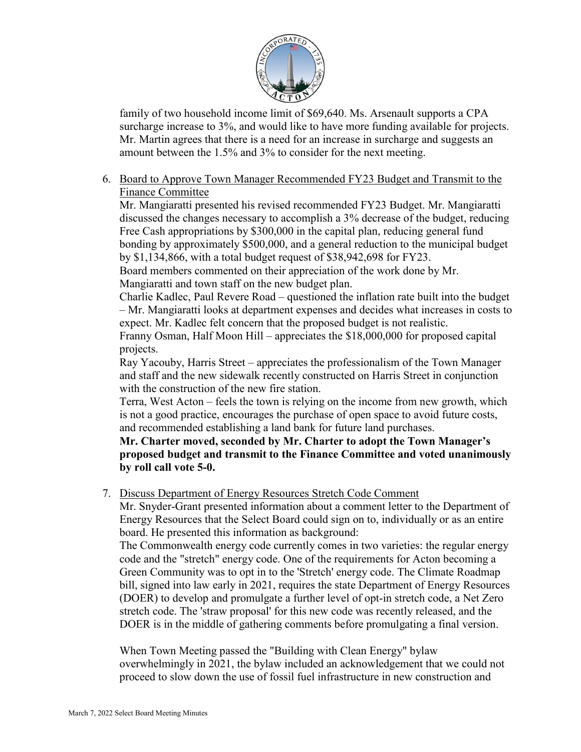

family of two household income limit of \$69,640. Ms. Arsenault supports a CPA surcharge increase to 3%, and would like to have more funding available for projects. Mr. Martin agrees that there is a need for an increase in surcharge and suggests an amount between the 1.5% and 3% to consider for the next meeting.

6. Board to Approve Town Manager Recommended FY23 Budget and Transmit to the Finance Committee

Mr. Mangiaratti presented his revised recommended FY23 Budget. Mr. Mangiaratti discussed the changes necessary to accomplish a 3% decrease of the budget, reducing Free Cash appropriations by \$300,000 in the capital plan, reducing general fund bonding by approximately \$500,000, and a general reduction to the municipal budget by \$1,134,866, with a total budget request of \$38,942,698 for FY23.

Board members commented on their appreciation of the work done by Mr. Mangiaratti and town staff on the new budget plan.

Charlie Kadlec, Paul Revere Road – questioned the inflation rate built into the budget – Mr. Mangiaratti looks at department expenses and decides what increases in costs to expect. Mr. Kadlec felt concern that the proposed budget is not realistic.

Franny Osman, Half Moon Hill – appreciates the \$18,000,000 for proposed capital projects.

Ray Yacouby, Harris Street – appreciates the professionalism of the Town Manager and staff and the new sidewalk recently constructed on Harris Street in conjunction with the construction of the new fire station.

Terra, West Acton – feels the town is relying on the income from new growth, which is not a good practice, encourages the purchase of open space to avoid future costs, and recommended establishing a land bank for future land purchases.

**Mr. Charter moved, seconded by Mr. Charter to adopt the Town Manager's proposed budget and transmit to the Finance Committee and voted unanimously by roll call vote 5-0.**

7. Discuss Department of Energy Resources Stretch Code Comment

Mr. Snyder-Grant presented information about a comment letter to the Department of Energy Resources that the Select Board could sign on to, individually or as an entire board. He presented this information as background:

The Commonwealth energy code currently comes in two varieties: the regular energy code and the "stretch" energy code. One of the requirements for Acton becoming a Green Community was to opt in to the 'Stretch' energy code. The Climate Roadmap bill, signed into law early in 2021, requires the state Department of Energy Resources (DOER) to develop and promulgate a further level of opt-in stretch code, a Net Zero stretch code. The 'straw proposal' for this new code was recently released, and the DOER is in the middle of gathering comments before promulgating a final version.

When Town Meeting passed the "Building with Clean Energy" bylaw overwhelmingly in 2021, the bylaw included an acknowledgement that we could not proceed to slow down the use of fossil fuel infrastructure in new construction and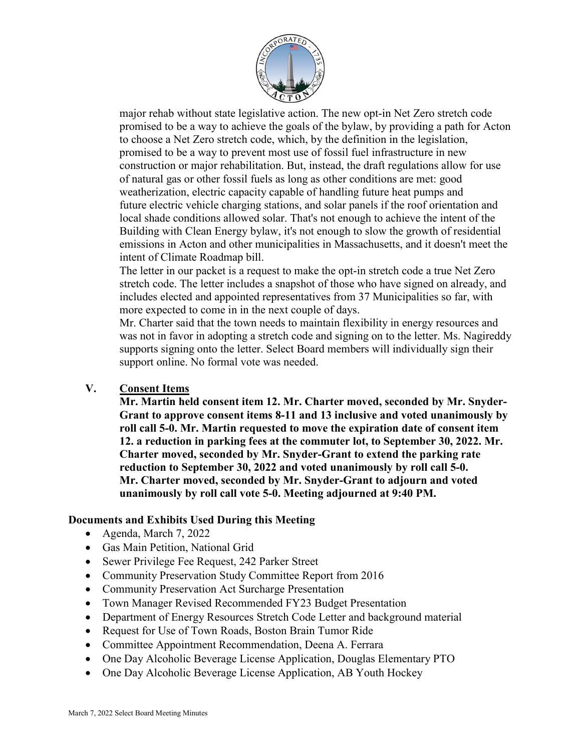

major rehab without state legislative action. The new opt-in Net Zero stretch code promised to be a way to achieve the goals of the bylaw, by providing a path for Acton to choose a Net Zero stretch code, which, by the definition in the legislation, promised to be a way to prevent most use of fossil fuel infrastructure in new construction or major rehabilitation. But, instead, the draft regulations allow for use of natural gas or other fossil fuels as long as other conditions are met: good weatherization, electric capacity capable of handling future heat pumps and future electric vehicle charging stations, and solar panels if the roof orientation and local shade conditions allowed solar. That's not enough to achieve the intent of the Building with Clean Energy bylaw, it's not enough to slow the growth of residential emissions in Acton and other municipalities in Massachusetts, and it doesn't meet the intent of Climate Roadmap bill.

The letter in our packet is a request to make the opt-in stretch code a true Net Zero stretch code. The letter includes a snapshot of those who have signed on already, and includes elected and appointed representatives from 37 Municipalities so far, with more expected to come in in the next couple of days.

Mr. Charter said that the town needs to maintain flexibility in energy resources and was not in favor in adopting a stretch code and signing on to the letter. Ms. Nagireddy supports signing onto the letter. Select Board members will individually sign their support online. No formal vote was needed.

**V. Consent Items** 

**Mr. Martin held consent item 12. Mr. Charter moved, seconded by Mr. Snyder-Grant to approve consent items 8-11 and 13 inclusive and voted unanimously by roll call 5-0. Mr. Martin requested to move the expiration date of consent item 12. a reduction in parking fees at the commuter lot, to September 30, 2022. Mr. Charter moved, seconded by Mr. Snyder-Grant to extend the parking rate reduction to September 30, 2022 and voted unanimously by roll call 5-0. Mr. Charter moved, seconded by Mr. Snyder-Grant to adjourn and voted unanimously by roll call vote 5-0. Meeting adjourned at 9:40 PM.**

# **Documents and Exhibits Used During this Meeting**

- Agenda, March 7, 2022
- Gas Main Petition, National Grid
- Sewer Privilege Fee Request, 242 Parker Street
- Community Preservation Study Committee Report from 2016
- Community Preservation Act Surcharge Presentation
- Town Manager Revised Recommended FY23 Budget Presentation
- Department of Energy Resources Stretch Code Letter and background material
- Request for Use of Town Roads, Boston Brain Tumor Ride
- Committee Appointment Recommendation, Deena A. Ferrara
- One Day Alcoholic Beverage License Application, Douglas Elementary PTO
- One Day Alcoholic Beverage License Application, AB Youth Hockey